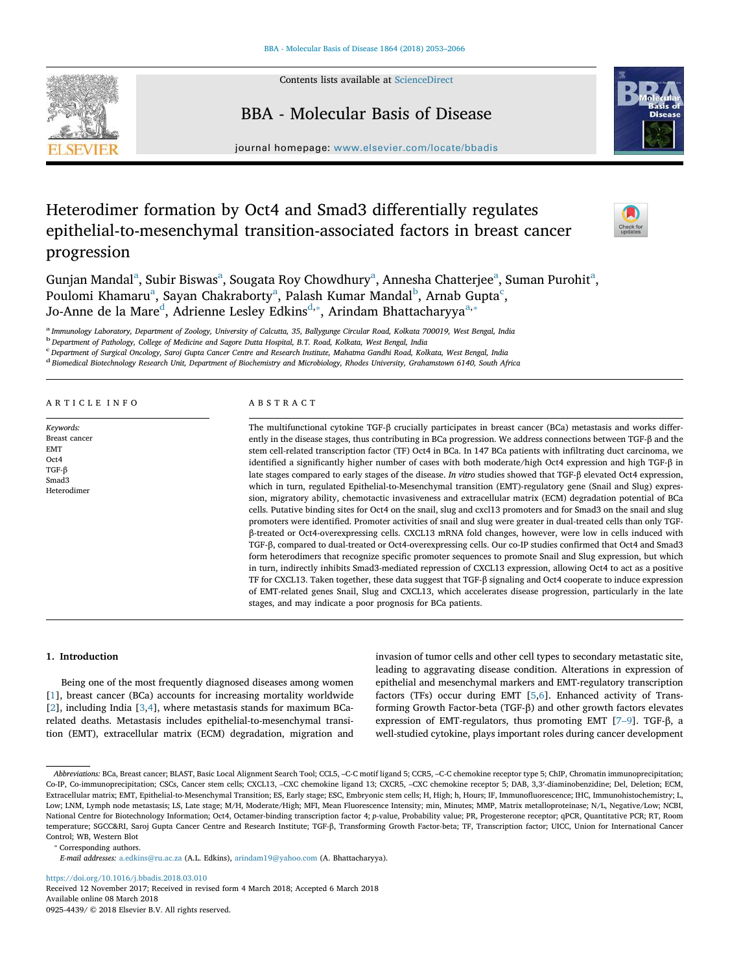

Contents lists available at ScienceDirect

## BBA - Molecular Basis of Disease



journal homepage: www.elsevier.com/locate/bbadis

# Heterodimer formation by Oct4 and Smad3 differentially regulates epithelial-to-mesenchymal transition-associated factors in breast cancer progression



Gunjan Mandal<sup>a</sup>, Subir Biswas<sup>a</sup>, Sougata Roy Chowdhury<sup>a</sup>, Annesha Chatterjee<sup>a</sup>, Suman Purohit<sup>a</sup>, Poulomi Khamaru<sup>a</sup>, Sayan Chakraborty<sup>a</sup>, Palash Kumar Mandal<sup>b</sup>, Arnab Gupta<sup>c</sup>, Jo-Anne de la Mare<sup>d</sup>, Adrienne Lesley Edkins<sup>d,</sup>\*, Arindam Bhattacharyya<sup>a,</sup>\*

a *Immunology Laboratory, Department of Zoology, University of Calcutta, 35, Ballygunge Circular Road, Kolkata 700019, West Bengal, India*

b *Department of Pathology, College of Medicine and Sagore Dutta Hospital, B.T. Road, Kolkata, West Bengal, India*

c *Department of Surgical Oncology, Saroj Gupta Cancer Centre and Research Institute, Mahatma Gandhi Road, Kolkata, West Bengal, India*

d *Biomedical Biotechnology Research Unit, Department of Biochemistry and Microbiology, Rhodes University, Grahamstown 6140, South Africa*

## ARTICLE INFO

*Keywords:* Breast cancer EMT Oct4 TGF-β Smad3 Heterodimer

## ABSTRACT

The multifunctional cytokine TGF-β crucially participates in breast cancer (BCa) metastasis and works differently in the disease stages, thus contributing in BCa progression. We address connections between TGF-β and the stem cell-related transcription factor (TF) Oct4 in BCa. In 147 BCa patients with infiltrating duct carcinoma, we identified a significantly higher number of cases with both moderate/high Oct4 expression and high TGF-β in late stages compared to early stages of the disease. *In vitro* studies showed that TGF-β elevated Oct4 expression, which in turn, regulated Epithelial-to-Mesenchymal transition (EMT)-regulatory gene (Snail and Slug) expression, migratory ability, chemotactic invasiveness and extracellular matrix (ECM) degradation potential of BCa cells. Putative binding sites for Oct4 on the snail, slug and cxcl13 promoters and for Smad3 on the snail and slug promoters were identified. Promoter activities of snail and slug were greater in dual-treated cells than only TGFβ-treated or Oct4-overexpressing cells. CXCL13 mRNA fold changes, however, were low in cells induced with TGF-β, compared to dual-treated or Oct4-overexpressing cells. Our co-IP studies confirmed that Oct4 and Smad3 form heterodimers that recognize specific promoter sequences to promote Snail and Slug expression, but which in turn, indirectly inhibits Smad3-mediated repression of CXCL13 expression, allowing Oct4 to act as a positive TF for CXCL13. Taken together, these data suggest that TGF-β signaling and Oct4 cooperate to induce expression of EMT-related genes Snail, Slug and CXCL13, which accelerates disease progression, particularly in the late stages, and may indicate a poor prognosis for BCa patients.

#### 1. Introduction

Being one of the most frequently diagnosed diseases among women [1], breast cancer (BCa) accounts for increasing mortality worldwide [2], including India [3,4], where metastasis stands for maximum BCarelated deaths. Metastasis includes epithelial-to-mesenchymal transition (EMT), extracellular matrix (ECM) degradation, migration and invasion of tumor cells and other cell types to secondary metastatic site, leading to aggravating disease condition. Alterations in expression of epithelial and mesenchymal markers and EMT-regulatory transcription factors (TFs) occur during EMT [5,6]. Enhanced activity of Transforming Growth Factor-beta (TGF-β) and other growth factors elevates expression of EMT-regulators, thus promoting EMT [7–9]. TGF-β, a well-studied cytokine, plays important roles during cancer development

⁎ Corresponding authors.

*E-mail addresses:* a.edkins@ru.ac.za (A.L. Edkins), arindam19@yahoo.com (A. Bhattacharyya).

https://doi.org/10.1016/j.bbadis.2018.03.010

Received 12 November 2017; Received in revised form 4 March 2018; Accepted 6 March 2018 Available online 08 March 2018

0925-4439/ © 2018 Elsevier B.V. All rights reserved.

*Abbreviations:* BCa, Breast cancer; BLAST, Basic Local Alignment Search Tool; CCL5, –C-C motif ligand 5; CCR5, –C-C chemokine receptor type 5; ChIP, Chromatin immunoprecipitation; Co-IP, Co-immunoprecipitation; CSCs, Cancer stem cells; CXCL13, –CXC chemokine ligand 13; CXCR5, –CXC chemokine receptor 5; DAB, 3,3′-diaminobenzidine; Del, Deletion; ECM, Extracellular matrix; EMT, Epithelial-to-Mesenchymal Transition; ES, Early stage; ESC, Embryonic stem cells; H, High; h, Hours; IF, Immunofluorescence; IHC, Immunohistochemistry; L, Low; LNM, Lymph node metastasis; LS, Late stage; M/H, Moderate/High; MFI, Mean Fluorescence Intensity; min, Minutes; MMP, Matrix metalloproteinase; N/L, Negative/Low; NCBI, National Centre for Biotechnology Information; Oct4, Octamer-binding transcription factor 4; *p*-value, Probability value; PR, Progesterone receptor; qPCR, Quantitative PCR; RT, Room temperature; SGCC&RI, Saroj Gupta Cancer Centre and Research Institute; TGF-β, Transforming Growth Factor-beta; TF, Transcription factor; UICC, Union for International Cancer Control; WB, Western Blot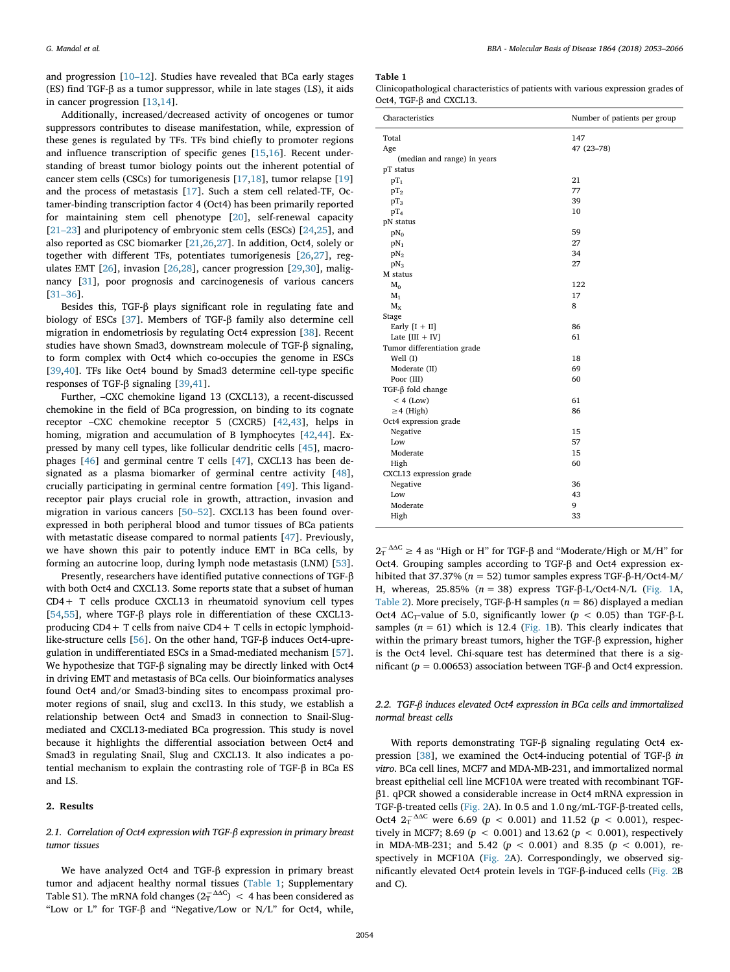and progression [10–12]. Studies have revealed that BCa early stages (ES) find TGF-β as a tumor suppressor, while in late stages (LS), it aids in cancer progression [13,14].

Additionally, increased/decreased activity of oncogenes or tumor suppressors contributes to disease manifestation, while, expression of these genes is regulated by TFs. TFs bind chiefly to promoter regions and influence transcription of specific genes [15,16]. Recent understanding of breast tumor biology points out the inherent potential of cancer stem cells (CSCs) for tumorigenesis [17,18], tumor relapse [19] and the process of metastasis [17]. Such a stem cell related-TF, Octamer-binding transcription factor 4 (Oct4) has been primarily reported for maintaining stem cell phenotype [20], self-renewal capacity [21–23] and pluripotency of embryonic stem cells (ESCs) [24,25], and also reported as CSC biomarker [21,26,27]. In addition, Oct4, solely or together with different TFs, potentiates tumorigenesis [26,27], regulates EMT [26], invasion [26,28], cancer progression [29,30], malignancy [31], poor prognosis and carcinogenesis of various cancers [31–36].

Besides this, TGF-β plays significant role in regulating fate and biology of ESCs [37]. Members of TGF-β family also determine cell migration in endometriosis by regulating Oct4 expression [38]. Recent studies have shown Smad3, downstream molecule of TGF-β signaling, to form complex with Oct4 which co-occupies the genome in ESCs [39,40]. TFs like Oct4 bound by Smad3 determine cell-type specific responses of TGF-β signaling [39,41].

Further, –CXC chemokine ligand 13 (CXCL13), a recent-discussed chemokine in the field of BCa progression, on binding to its cognate receptor –CXC chemokine receptor 5 (CXCR5) [42,43], helps in homing, migration and accumulation of B lymphocytes [42,44]. Expressed by many cell types, like follicular dendritic cells [45], macrophages [46] and germinal centre T cells [47], CXCL13 has been designated as a plasma biomarker of germinal centre activity [48], crucially participating in germinal centre formation [49]. This ligandreceptor pair plays crucial role in growth, attraction, invasion and migration in various cancers [50–52]. CXCL13 has been found overexpressed in both peripheral blood and tumor tissues of BCa patients with metastatic disease compared to normal patients [47]. Previously, we have shown this pair to potently induce EMT in BCa cells, by forming an autocrine loop, during lymph node metastasis (LNM) [53].

Presently, researchers have identified putative connections of TGF-β with both Oct4 and CXCL13. Some reports state that a subset of human CD4+ T cells produce CXCL13 in rheumatoid synovium cell types [54,55], where TGF-β plays role in differentiation of these CXCL13 producing CD4+ T cells from naive CD4+ T cells in ectopic lymphoidlike-structure cells [56]. On the other hand, TGF-β induces Oct4-upregulation in undifferentiated ESCs in a Smad-mediated mechanism [57]. We hypothesize that TGF-β signaling may be directly linked with Oct4 in driving EMT and metastasis of BCa cells. Our bioinformatics analyses found Oct4 and/or Smad3-binding sites to encompass proximal promoter regions of snail, slug and cxcl13. In this study, we establish a relationship between Oct4 and Smad3 in connection to Snail-Slugmediated and CXCL13-mediated BCa progression. This study is novel because it highlights the differential association between Oct4 and Smad3 in regulating Snail, Slug and CXCL13. It also indicates a potential mechanism to explain the contrasting role of TGF-β in BCa ES and LS.

## 2. Results

## *2.1. Correlation of Oct4 expression with TGF-*β *expression in primary breast tumor tissues*

We have analyzed Oct4 and TGF-β expression in primary breast tumor and adjacent healthy normal tissues (Table 1; Supplementary Table S1). The mRNA fold changes ( $2_T^{-\Delta\Delta C}$ ) < 4 has been considered as "Low or L" for TGF-β and "Negative/Low or N/L" for Oct4, while,

#### *G. Mandal et al. BBA - Molecular Basis of Disease 1864 (2018) 2053–2066*

#### Table 1

Clinicopathological characteristics of patients with various expression grades of Oct4, TGF-β and CXCL13.

| Characteristics             | Number of patients per group |  |
|-----------------------------|------------------------------|--|
| Total                       | 147                          |  |
| Age                         | 47 (23-78)                   |  |
| (median and range) in years |                              |  |
| pT status                   |                              |  |
| $pT_1$                      | 21                           |  |
| $pT_2$                      | 77                           |  |
| $pT_3$                      | 39                           |  |
| $pT_4$                      | 10                           |  |
| pN status                   |                              |  |
| $pN_0$                      | 59                           |  |
| $pN_1$                      | 27                           |  |
| pN <sub>2</sub>             | 34                           |  |
| $pN_3$                      | 27                           |  |
| M status                    |                              |  |
| $M_0$                       | 122                          |  |
| $M_1$                       | 17                           |  |
| $M_X$                       | 8                            |  |
| Stage                       |                              |  |
| Early $[I + II]$            | 86                           |  |
| Late $[III + IV]$           | 61                           |  |
| Tumor differentiation grade |                              |  |
| Well (I)                    | 18                           |  |
| Moderate (II)               | 69                           |  |
| Poor (III)                  | 60                           |  |
| TGF-β fold change           |                              |  |
| $<$ 4 (Low)                 | 61                           |  |
| $\geq$ 4 (High)             | 86                           |  |
| Oct4 expression grade       |                              |  |
| Negative                    | 15                           |  |
| Low                         | 57                           |  |
| Moderate                    | 15                           |  |
| High                        | 60                           |  |
| CXCL13 expression grade     |                              |  |
| Negative                    | 36                           |  |
| Low                         | 43                           |  |
| Moderate                    | 9                            |  |
| High                        | 33                           |  |

 $2<sub>T</sub><sup>−ΔΔC</sup> ≥ 4$  as "High or H" for TGF-β and "Moderate/High or M/H" for Oct4. Grouping samples according to TGF-β and Oct4 expression exhibited that 37.37% (*n* = 52) tumor samples express TGF-β-H/Oct4-M/ H, whereas, 25.85% (*n* = 38) express TGF-β-L/Oct4-N/L (Fig. 1A, Table 2). More precisely, TGF-β-H samples (*n* = 86) displayed a median Oct4  $\Delta C_T$ -value of 5.0, significantly lower (*p* < 0.05) than TGF-β-L samples  $(n = 61)$  which is 12.4 (Fig. 1B). This clearly indicates that within the primary breast tumors, higher the TGF-β expression, higher is the Oct4 level. Chi-square test has determined that there is a significant (*p* = 0.00653) association between TGF-β and Oct4 expression.

## *2.2. TGF-*β *induces elevated Oct4 expression in BCa cells and immortalized normal breast cells*

With reports demonstrating TGF-β signaling regulating Oct4 expression [38], we examined the Oct4-inducing potential of TGF-β *in vitro*. BCa cell lines, MCF7 and MDA-MB-231, and immortalized normal breast epithelial cell line MCF10A were treated with recombinant TGFβ1. qPCR showed a considerable increase in Oct4 mRNA expression in TGF-β-treated cells (Fig. 2A). In 0.5 and 1.0 ng/mL-TGF-β-treated cells, Oct4  $2^{-\Delta\Delta C}$  were 6.69 (*p* < 0.001) and 11.52 (*p* < 0.001), respectively in MCF7; 8.69 ( $p < 0.001$ ) and 13.62 ( $p < 0.001$ ), respectively in MDA-MB-231; and 5.42 (*p* < 0.001) and 8.35 (*p* < 0.001), respectively in MCF10A (Fig. 2A). Correspondingly, we observed significantly elevated Oct4 protein levels in TGF-β-induced cells (Fig. 2B and C).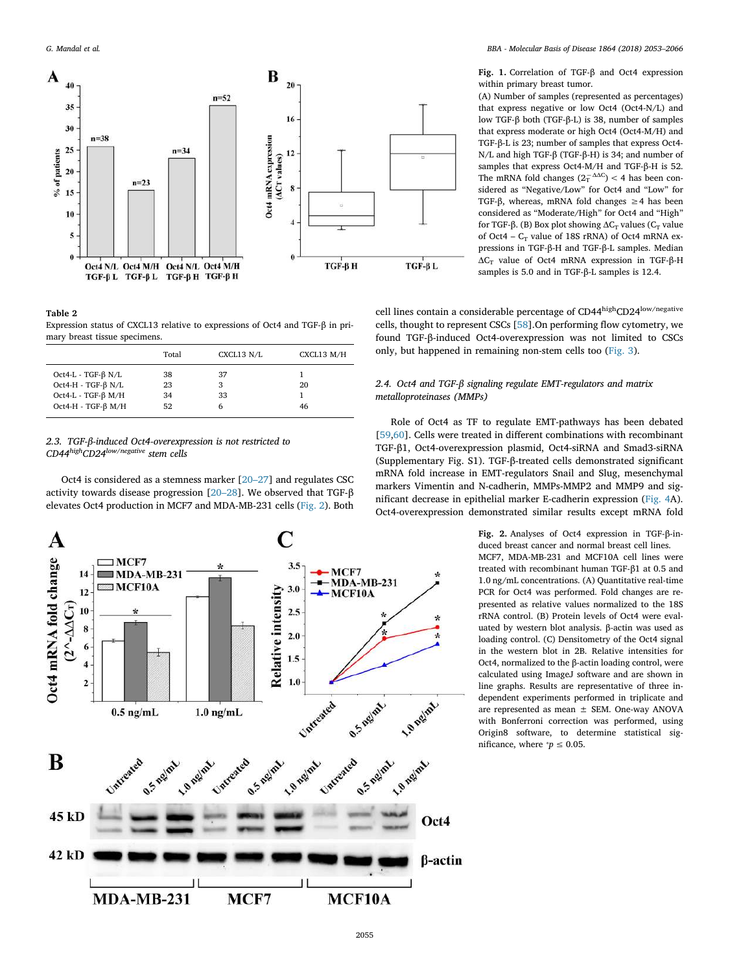

#### Table 2 Expression status of CXCL13 relative to expressions of Oct4 and TGF-β in primary breast tissue specimens.

|                           | Total | CXCL13 N/L | CXCL13 M/H |
|---------------------------|-------|------------|------------|
| Oct4-L - TGF- $\beta$ N/L | 38    | 37         |            |
| Oct4-H - TGF- $\beta$ N/L | 23    | 3          | 20         |
| Oct4-L - TGF- $\beta$ M/H | 34    | 33         |            |
| Oct4-H - TGF- $\beta$ M/H | 52    | 6          | 46         |

## *2.3. TGF-*β*-induced Oct4-overexpression is not restricted to CD44highCD24low/negative stem cells*

Oct4 is considered as a stemness marker [20–27] and regulates CSC activity towards disease progression [20–28]. We observed that TGF-β elevates Oct4 production in MCF7 and MDA-MB-231 cells (Fig. 2). Both



Fig. 1. Correlation of TGF-β and Oct4 expression within primary breast tumor.

(A) Number of samples (represented as percentages) that express negative or low Oct4 (Oct4-N/L) and low TGF-β both (TGF-β-L) is 38, number of samples that express moderate or high Oct4 (Oct4-M/H) and TGF-β-L is 23; number of samples that express Oct4- N/L and high TGF-β (TGF-β-H) is 34; and number of samples that express Oct4-M/H and TGF-β-H is 52. The mRNA fold changes  $(2_T^{-\Delta\Delta C}) < 4$  has been considered as "Negative/Low" for Oct4 and "Low" for TGF- $\beta$ , whereas, mRNA fold changes  $\geq 4$  has been considered as "Moderate/High" for Oct4 and "High" for TGF-β. (B) Box plot showing  $\Delta C_T$  values (C<sub>T</sub> value of Oct4 –  $C_T$  value of 18S rRNA) of Oct4 mRNA expressions in TGF-β-H and TGF-β-L samples. Median  $\Delta C_T$  value of Oct4 mRNA expression in TGF-β-H samples is 5.0 and in TGF-β-L samples is 12.4.

cell lines contain a considerable percentage of  $CD44^{\text{high}}CD24^{\text{low/negative}}$ cells, thought to represent CSCs [58].On performing flow cytometry, we found TGF-β-induced Oct4-overexpression was not limited to CSCs only, but happened in remaining non-stem cells too (Fig. 3).

## *2.4. Oct4 and TGF-*β *signaling regulate EMT-regulators and matrix metalloproteinases (MMPs)*

Role of Oct4 as TF to regulate EMT-pathways has been debated [59,60]. Cells were treated in different combinations with recombinant TGF-β1, Oct4-overexpression plasmid, Oct4-siRNA and Smad3-siRNA (Supplementary Fig. S1). TGF-β-treated cells demonstrated significant mRNA fold increase in EMT-regulators Snail and Slug, mesenchymal markers Vimentin and N-cadherin, MMPs-MMP2 and MMP9 and significant decrease in epithelial marker E-cadherin expression (Fig. 4A). Oct4-overexpression demonstrated similar results except mRNA fold

> Fig. 2. Analyses of Oct4 expression in TGF-β-induced breast cancer and normal breast cell lines. MCF7, MDA-MB-231 and MCF10A cell lines were treated with recombinant human TGF-β1 at 0.5 and 1.0 ng/mL concentrations. (A) Quantitative real-time PCR for Oct4 was performed. Fold changes are represented as relative values normalized to the 18S rRNA control. (B) Protein levels of Oct4 were evaluated by western blot analysis. β-actin was used as loading control. (C) Densitometry of the Oct4 signal in the western blot in 2B. Relative intensities for Oct4, normalized to the β-actin loading control, were calculated using ImageJ software and are shown in line graphs. Results are representative of three independent experiments performed in triplicate and are represented as mean ± SEM. One-way ANOVA with Bonferroni correction was performed, using Origin8 software, to determine statistical significance, where  $p \leq 0.05$ .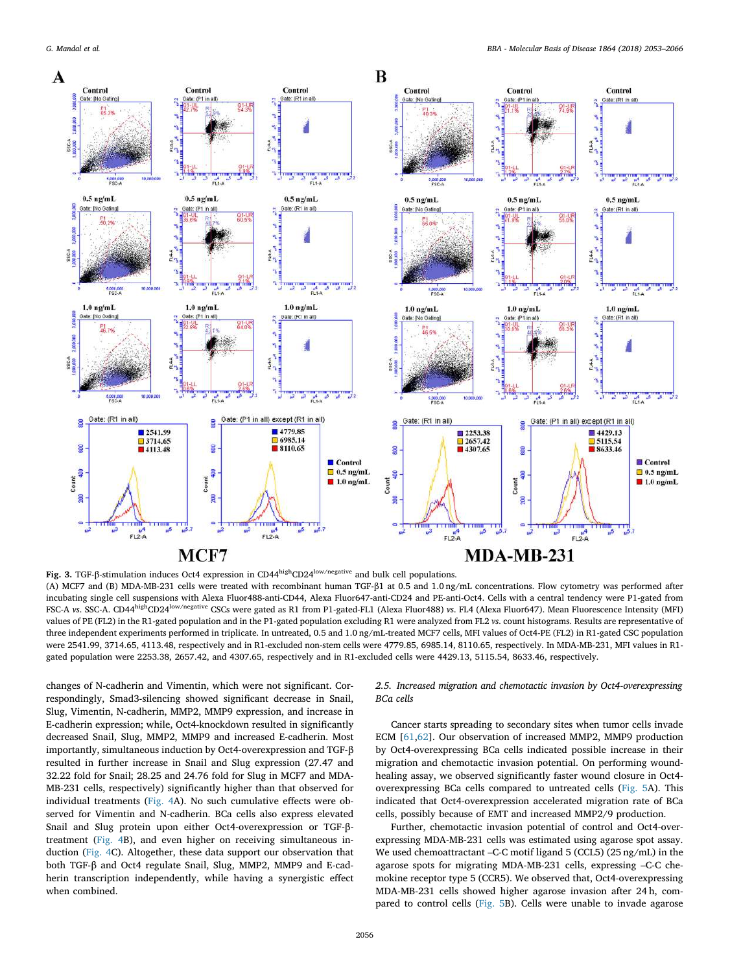

Fig. 3. TGF-β-stimulation induces Oct4 expression in CD44<sup>high</sup>CD24<sup>low/negative</sup> and bulk cell populations. (A) MCF7 and (B) MDA-MB-231 cells were treated with recombinant human TGF-β1 at 0.5 and 1.0 ng/mL concentrations. Flow cytometry was performed after incubating single cell suspensions with Alexa Fluor488-anti-CD44, Alexa Fluor647-anti-CD24 and PE-anti-Oct4. Cells with a central tendency were P1-gated from FSC-A *vs*. SSC-A. CD44highCD24low/negative CSCs were gated as R1 from P1-gated-FL1 (Alexa Fluor488) *vs*. FL4 (Alexa Fluor647). Mean Fluorescence Intensity (MFI) values of PE (FL2) in the R1-gated population and in the P1-gated population excluding R1 were analyzed from FL2 *vs*. count histograms. Results are representative of three independent experiments performed in triplicate. In untreated, 0.5 and 1.0 ng/mL-treated MCF7 cells, MFI values of Oct4-PE (FL2) in R1-gated CSC population were 2541.99, 3714.65, 4113.48, respectively and in R1-excluded non-stem cells were 4779.85, 6985.14, 8110.65, respectively. In MDA-MB-231, MFI values in R1 gated population were 2253.38, 2657.42, and 4307.65, respectively and in R1-excluded cells were 4429.13, 5115.54, 8633.46, respectively.

changes of N-cadherin and Vimentin, which were not significant. Correspondingly, Smad3-silencing showed significant decrease in Snail, Slug, Vimentin, N-cadherin, MMP2, MMP9 expression, and increase in E-cadherin expression; while, Oct4-knockdown resulted in significantly decreased Snail, Slug, MMP2, MMP9 and increased E-cadherin. Most importantly, simultaneous induction by Oct4-overexpression and TGF-β resulted in further increase in Snail and Slug expression (27.47 and 32.22 fold for Snail; 28.25 and 24.76 fold for Slug in MCF7 and MDA-MB-231 cells, respectively) significantly higher than that observed for individual treatments (Fig. 4A). No such cumulative effects were observed for Vimentin and N-cadherin. BCa cells also express elevated Snail and Slug protein upon either Oct4-overexpression or TGF-βtreatment (Fig. 4B), and even higher on receiving simultaneous induction (Fig. 4C). Altogether, these data support our observation that both TGF-β and Oct4 regulate Snail, Slug, MMP2, MMP9 and E-cadherin transcription independently, while having a synergistic effect when combined.

*2.5. Increased migration and chemotactic invasion by Oct4-overexpressing BCa cells*

Cancer starts spreading to secondary sites when tumor cells invade ECM [61,62]. Our observation of increased MMP2, MMP9 production by Oct4-overexpressing BCa cells indicated possible increase in their migration and chemotactic invasion potential. On performing woundhealing assay, we observed significantly faster wound closure in Oct4 overexpressing BCa cells compared to untreated cells (Fig. 5A). This indicated that Oct4-overexpression accelerated migration rate of BCa cells, possibly because of EMT and increased MMP2/9 production.

Further, chemotactic invasion potential of control and Oct4-overexpressing MDA-MB-231 cells was estimated using agarose spot assay. We used chemoattractant –C-C motif ligand 5 (CCL5) (25 ng/mL) in the agarose spots for migrating MDA-MB-231 cells, expressing –C-C chemokine receptor type 5 (CCR5). We observed that, Oct4-overexpressing MDA-MB-231 cells showed higher agarose invasion after 24 h, compared to control cells (Fig. 5B). Cells were unable to invade agarose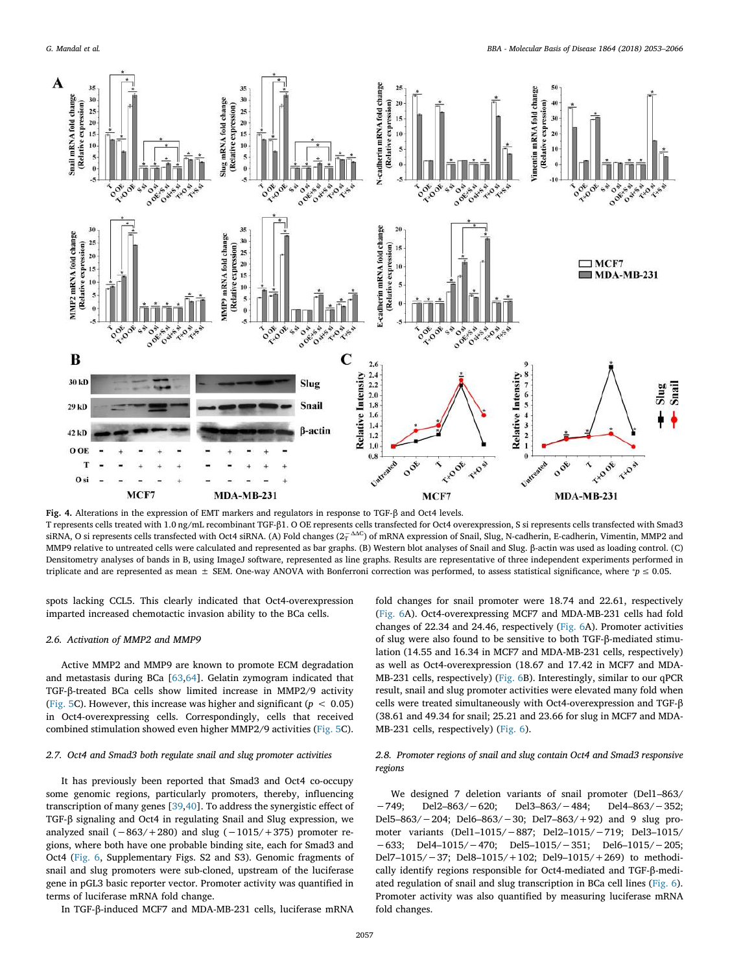

Fig. 4. Alterations in the expression of EMT markers and regulators in response to TGF-β and Oct4 levels. T represents cells treated with 1.0 ng/mL recombinant TGF-β1. O OE represents cells transfected for Oct4 overexpression, S si represents cells transfected with Smad3 siRNA, O si represents cells transfected with Oct4 siRNA. (A) Fold changes (2<sup>-AAC</sup>) of mRNA expression of Snail, Slug, N-cadherin, E-cadherin, Vimentin, MMP2 and MMP9 relative to untreated cells were calculated and represented as bar graphs. (B) Western blot analyses of Snail and Slug. β-actin was used as loading control. (C) Densitometry analyses of bands in B, using ImageJ software, represented as line graphs. Results are representative of three independent experiments performed in triplicate and are represented as mean  $\pm$  SEM. One-way ANOVA with Bonferroni correction was performed, to assess statistical significance, where  $^*p \le 0.05$ .

spots lacking CCL5. This clearly indicated that Oct4-overexpression imparted increased chemotactic invasion ability to the BCa cells.

#### *2.6. Activation of MMP2 and MMP9*

Active MMP2 and MMP9 are known to promote ECM degradation and metastasis during BCa [63,64]. Gelatin zymogram indicated that TGF-β-treated BCa cells show limited increase in MMP2/9 activity (Fig. 5C). However, this increase was higher and significant ( $p < 0.05$ ) in Oct4-overexpressing cells. Correspondingly, cells that received combined stimulation showed even higher MMP2/9 activities (Fig. 5C).

## *2.7. Oct4 and Smad3 both regulate snail and slug promoter activities*

It has previously been reported that Smad3 and Oct4 co-occupy some genomic regions, particularly promoters, thereby, influencing transcription of many genes [39,40]. To address the synergistic effect of TGF-β signaling and Oct4 in regulating Snail and Slug expression, we analyzed snail  $(-863/+280)$  and slug  $(-1015/+375)$  promoter regions, where both have one probable binding site, each for Smad3 and Oct4 (Fig. 6, Supplementary Figs. S2 and S3). Genomic fragments of snail and slug promoters were sub-cloned, upstream of the luciferase gene in pGL3 basic reporter vector. Promoter activity was quantified in terms of luciferase mRNA fold change.

In TGF-β-induced MCF7 and MDA-MB-231 cells, luciferase mRNA

fold changes for snail promoter were 18.74 and 22.61, respectively (Fig. 6A). Oct4-overexpressing MCF7 and MDA-MB-231 cells had fold changes of 22.34 and 24.46, respectively (Fig. 6A). Promoter activities of slug were also found to be sensitive to both TGF-β-mediated stimulation (14.55 and 16.34 in MCF7 and MDA-MB-231 cells, respectively) as well as Oct4-overexpression (18.67 and 17.42 in MCF7 and MDA-MB-231 cells, respectively) (Fig. 6B). Interestingly, similar to our qPCR result, snail and slug promoter activities were elevated many fold when cells were treated simultaneously with Oct4-overexpression and TGF-β (38.61 and 49.34 for snail; 25.21 and 23.66 for slug in MCF7 and MDA-MB-231 cells, respectively) (Fig. 6).

## *2.8. Promoter regions of snail and slug contain Oct4 and Smad3 responsive regions*

We designed 7 deletion variants of snail promoter (Del1–863/ −749; Del2–863/−620; Del3–863/−484; Del4–863/−352; Del5–863/−204; Del6–863/−30; Del7–863/+92) and 9 slug promoter variants (Del1–1015/−887; Del2–1015/−719; Del3–1015/ −633; Del4–1015/−470; Del5–1015/−351; Del6–1015/−205; Del7–1015/−37; Del8–1015/+102; Del9–1015/+269) to methodically identify regions responsible for Oct4-mediated and TGF-β-mediated regulation of snail and slug transcription in BCa cell lines (Fig. 6). Promoter activity was also quantified by measuring luciferase mRNA fold changes.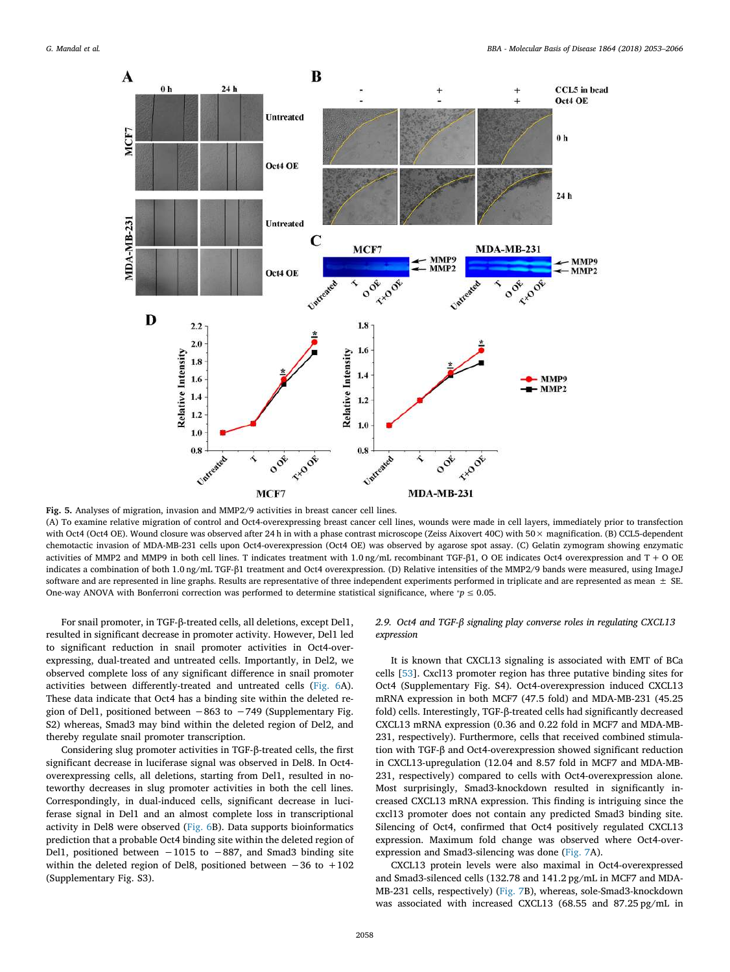

Fig. 5. Analyses of migration, invasion and MMP2/9 activities in breast cancer cell lines. (A) To examine relative migration of control and Oct4-overexpressing breast cancer cell lines, wounds were made in cell layers, immediately prior to transfection with Oct4 (Oct4 OE). Wound closure was observed after 24 h in with a phase contrast microscope (Zeiss Aixovert 40C) with 50 × magnification. (B) CCL5-dependent chemotactic invasion of MDA-MB-231 cells upon Oct4-overexpression (Oct4 OE) was observed by agarose spot assay. (C) Gelatin zymogram showing enzymatic activities of MMP2 and MMP9 in both cell lines. T indicates treatment with 1.0 ng/mL recombinant TGF-β1, O OE indicates Oct4 overexpression and T + O OE indicates a combination of both 1.0 ng/mL TGF-β1 treatment and Oct4 overexpression. (D) Relative intensities of the MMP2/9 bands were measured, using ImageJ software and are represented in line graphs. Results are representative of three independent experiments performed in triplicate and are represented as mean  $\pm$  SE. One-way ANOVA with Bonferroni correction was performed to determine statistical significance, where  $p \le 0.05$ .

For snail promoter, in TGF-β-treated cells, all deletions, except Del1, resulted in significant decrease in promoter activity. However, Del1 led to significant reduction in snail promoter activities in Oct4-overexpressing, dual-treated and untreated cells. Importantly, in Del2, we observed complete loss of any significant difference in snail promoter activities between differently-treated and untreated cells (Fig. 6A). These data indicate that Oct4 has a binding site within the deleted region of Del1, positioned between −863 to −749 (Supplementary Fig. S2) whereas, Smad3 may bind within the deleted region of Del2, and thereby regulate snail promoter transcription.

Considering slug promoter activities in TGF-β-treated cells, the first significant decrease in luciferase signal was observed in Del8. In Oct4 overexpressing cells, all deletions, starting from Del1, resulted in noteworthy decreases in slug promoter activities in both the cell lines. Correspondingly, in dual-induced cells, significant decrease in luciferase signal in Del1 and an almost complete loss in transcriptional activity in Del8 were observed (Fig. 6B). Data supports bioinformatics prediction that a probable Oct4 binding site within the deleted region of Del1, positioned between −1015 to −887, and Smad3 binding site within the deleted region of Del8, positioned between  $-36$  to  $+102$ (Supplementary Fig. S3).

## *2.9. Oct4 and TGF-*β *signaling play converse roles in regulating CXCL13 expression*

It is known that CXCL13 signaling is associated with EMT of BCa cells [53]. Cxcl13 promoter region has three putative binding sites for Oct4 (Supplementary Fig. S4). Oct4-overexpression induced CXCL13 mRNA expression in both MCF7 (47.5 fold) and MDA-MB-231 (45.25 fold) cells. Interestingly, TGF-β-treated cells had significantly decreased CXCL13 mRNA expression (0.36 and 0.22 fold in MCF7 and MDA-MB-231, respectively). Furthermore, cells that received combined stimulation with TGF-β and Oct4-overexpression showed significant reduction in CXCL13-upregulation (12.04 and 8.57 fold in MCF7 and MDA-MB-231, respectively) compared to cells with Oct4-overexpression alone. Most surprisingly, Smad3-knockdown resulted in significantly increased CXCL13 mRNA expression. This finding is intriguing since the cxcl13 promoter does not contain any predicted Smad3 binding site. Silencing of Oct4, confirmed that Oct4 positively regulated CXCL13 expression. Maximum fold change was observed where Oct4-overexpression and Smad3-silencing was done (Fig. 7A).

CXCL13 protein levels were also maximal in Oct4-overexpressed and Smad3-silenced cells (132.78 and 141.2 pg/mL in MCF7 and MDA-MB-231 cells, respectively) (Fig. 7B), whereas, sole-Smad3-knockdown was associated with increased CXCL13 (68.55 and 87.25 pg/mL in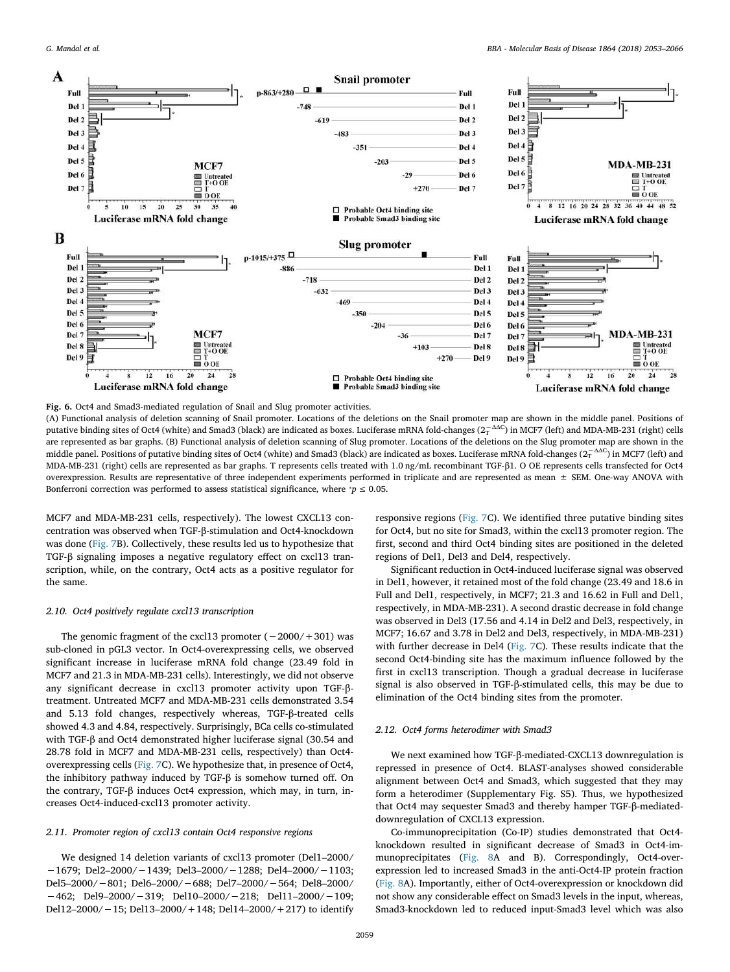

Fig. 6. Oct4 and Smad3-mediated regulation of Snail and Slug promoter activities.

(A) Functional analysis of deletion scanning of Snail promoter. Locations of the deletions on the Snail promoter map are shown in the middle panel. Positions of putative binding sites of Oct4 (white) and Smad3 (black) are indicated as boxes. Luciferase mRNA fold-changes ( $2^{-\Delta\Delta C}$ ) in MCF7 (left) and MDA-MB-231 (right) cells are represented as bar graphs. (B) Functional analysis of deletion scanning of Slug promoter. Locations of the deletions on the Slug promoter map are shown in the middle panel. Positions of putative binding sites of Oct4 (white) and Smad3 (black) are indicated as boxes. Luciferase mRNA fold-changes ( $2^{-\Delta\Delta C}$ ) in MCF7 (left) and MDA-MB-231 (right) cells are represented as bar graphs. T represents cells treated with 1.0 ng/mL recombinant TGF-β1. O OE represents cells transfected for Oct4 overexpression. Results are representative of three independent experiments performed in triplicate and are represented as mean  $\pm$  SEM. One-way ANOVA with Bonferroni correction was performed to assess statistical significance, where  $^*p \leq 0.05$ .

MCF7 and MDA-MB-231 cells, respectively). The lowest CXCL13 concentration was observed when TGF-β-stimulation and Oct4-knockdown was done (Fig. 7B). Collectively, these results led us to hypothesize that TGF-β signaling imposes a negative regulatory effect on cxcl13 transcription, while, on the contrary, Oct4 acts as a positive regulator for the same.

#### *2.10. Oct4 positively regulate cxcl13 transcription*

The genomic fragment of the cxcl13 promoter (−2000/+301) was sub-cloned in pGL3 vector. In Oct4-overexpressing cells, we observed significant increase in luciferase mRNA fold change (23.49 fold in MCF7 and 21.3 in MDA-MB-231 cells). Interestingly, we did not observe any significant decrease in cxcl13 promoter activity upon TGF-βtreatment. Untreated MCF7 and MDA-MB-231 cells demonstrated 3.54 and 5.13 fold changes, respectively whereas, TGF-β-treated cells showed 4.3 and 4.84, respectively. Surprisingly, BCa cells co-stimulated with TGF-β and Oct4 demonstrated higher luciferase signal (30.54 and 28.78 fold in MCF7 and MDA-MB-231 cells, respectively) than Oct4 overexpressing cells (Fig. 7C). We hypothesize that, in presence of Oct4, the inhibitory pathway induced by TGF-β is somehow turned off. On the contrary, TGF-β induces Oct4 expression, which may, in turn, increases Oct4-induced-cxcl13 promoter activity.

## *2.11. Promoter region of cxcl13 contain Oct4 responsive regions*

We designed 14 deletion variants of cxcl13 promoter (Del1–2000/ −1679; Del2–2000/−1439; Del3–2000/−1288; Del4–2000/−1103; Del5–2000/−801; Del6–2000/−688; Del7–2000/−564; Del8–2000/ −462; Del9–2000/−319; Del10–2000/−218; Del11–2000/−109; Del12–2000/−15; Del13–2000/+148; Del14–2000/+217) to identify

responsive regions (Fig. 7C). We identified three putative binding sites for Oct4, but no site for Smad3, within the cxcl13 promoter region. The first, second and third Oct4 binding sites are positioned in the deleted regions of Del1, Del3 and Del4, respectively.

Significant reduction in Oct4-induced luciferase signal was observed in Del1, however, it retained most of the fold change (23.49 and 18.6 in Full and Del1, respectively, in MCF7; 21.3 and 16.62 in Full and Del1, respectively, in MDA-MB-231). A second drastic decrease in fold change was observed in Del3 (17.56 and 4.14 in Del2 and Del3, respectively, in MCF7; 16.67 and 3.78 in Del2 and Del3, respectively, in MDA-MB-231) with further decrease in Del4 (Fig. 7C). These results indicate that the second Oct4-binding site has the maximum influence followed by the first in cxcl13 transcription. Though a gradual decrease in luciferase signal is also observed in TGF-β-stimulated cells, this may be due to elimination of the Oct4 binding sites from the promoter.

## *2.12. Oct4 forms heterodimer with Smad3*

We next examined how TGF-β-mediated-CXCL13 downregulation is repressed in presence of Oct4. BLAST-analyses showed considerable alignment between Oct4 and Smad3, which suggested that they may form a heterodimer (Supplementary Fig. S5). Thus, we hypothesized that Oct4 may sequester Smad3 and thereby hamper TGF-β-mediateddownregulation of CXCL13 expression.

Co-immunoprecipitation (Co-IP) studies demonstrated that Oct4 knockdown resulted in significant decrease of Smad3 in Oct4-immunoprecipitates (Fig. 8A and B). Correspondingly, Oct4-overexpression led to increased Smad3 in the anti-Oct4-IP protein fraction (Fig. 8A). Importantly, either of Oct4-overexpression or knockdown did not show any considerable effect on Smad3 levels in the input, whereas, Smad3-knockdown led to reduced input-Smad3 level which was also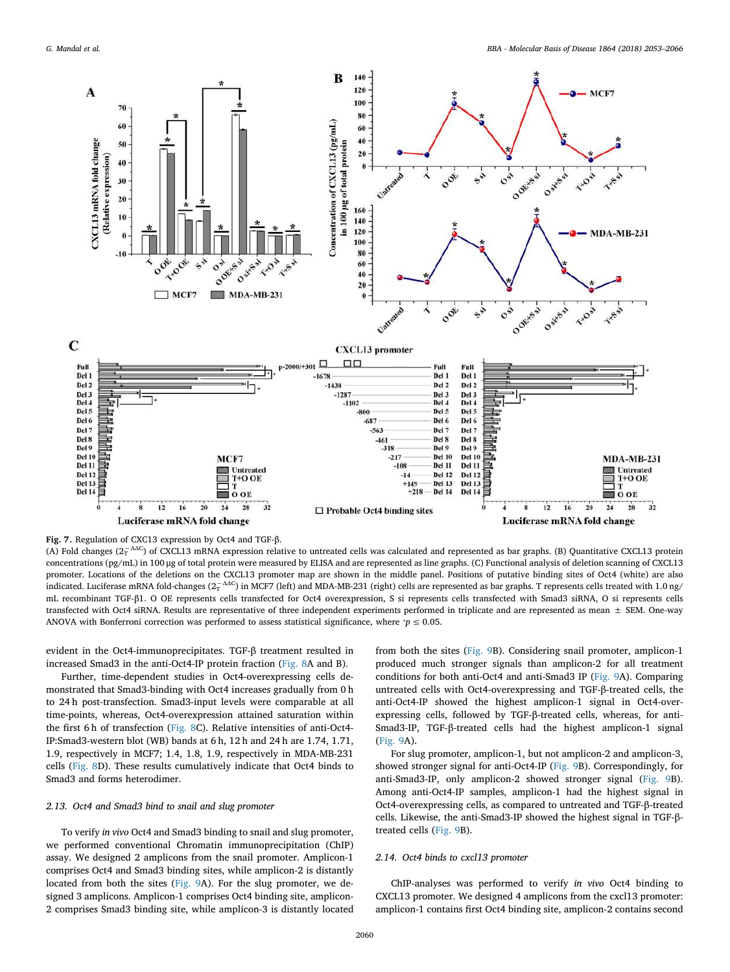![](_page_7_Figure_2.jpeg)

![](_page_7_Figure_3.jpeg)

(A) Fold changes (2<sup>-ΔΔC</sup>) of CXCL13 mRNA expression relative to untreated cells was calculated and represented as bar graphs. (B) Quantitative CXCL13 protein concentrations (pg/mL) in 100 μg of total protein were measured by ELISA and are represented as line graphs. (C) Functional analysis of deletion scanning of CXCL13 promoter. Locations of the deletions on the CXCL13 promoter map are shown in the middle panel. Positions of putative binding sites of Oct4 (white) are also The indicated. Luciferase mRNA fold-changes (2<sub>T</sub>ΔΔC) in MCF7 (left) and MDA-MB-231 (right) cells are represented as bar graphs. T represents cells treated with 1.0 ng/ mL recombinant TGF-β1. O OE represents cells transfected for Oct4 overexpression, S si represents cells transfected with Smad3 siRNA, O si represents cells transfected with Oct4 siRNA. Results are representative of three independent experiments performed in triplicate and are represented as mean  $\pm$  SEM. One-way ANOVA with Bonferroni correction was performed to assess statistical significance, where  $p \leq 0.05$ .

evident in the Oct4-immunoprecipitates. TGF-β treatment resulted in increased Smad3 in the anti-Oct4-IP protein fraction (Fig. 8A and B).

Further, time-dependent studies in Oct4-overexpressing cells demonstrated that Smad3-binding with Oct4 increases gradually from 0 h to 24 h post-transfection. Smad3-input levels were comparable at all time-points, whereas, Oct4-overexpression attained saturation within the first 6 h of transfection (Fig. 8C). Relative intensities of anti-Oct4- IP:Smad3-western blot (WB) bands at 6 h, 12 h and 24 h are 1.74, 1.71, 1.9, respectively in MCF7; 1.4, 1.8, 1.9, respectively in MDA-MB-231 cells (Fig. 8D). These results cumulatively indicate that Oct4 binds to Smad3 and forms heterodimer.

#### *2.13. Oct4 and Smad3 bind to snail and slug promoter*

To verify *in vivo* Oct4 and Smad3 binding to snail and slug promoter, we performed conventional Chromatin immunoprecipitation (ChIP) assay. We designed 2 amplicons from the snail promoter. Amplicon-1 comprises Oct4 and Smad3 binding sites, while amplicon-2 is distantly located from both the sites (Fig. 9A). For the slug promoter, we designed 3 amplicons. Amplicon-1 comprises Oct4 binding site, amplicon-2 comprises Smad3 binding site, while amplicon-3 is distantly located from both the sites (Fig. 9B). Considering snail promoter, amplicon-1 produced much stronger signals than amplicon-2 for all treatment conditions for both anti-Oct4 and anti-Smad3 IP (Fig. 9A). Comparing untreated cells with Oct4-overexpressing and TGF-β-treated cells, the anti-Oct4-IP showed the highest amplicon-1 signal in Oct4-overexpressing cells, followed by TGF-β-treated cells, whereas, for anti-Smad3-IP, TGF-β-treated cells had the highest amplicon-1 signal (Fig. 9A).

For slug promoter, amplicon-1, but not amplicon-2 and amplicon-3, showed stronger signal for anti-Oct4-IP (Fig. 9B). Correspondingly, for anti-Smad3-IP, only amplicon-2 showed stronger signal (Fig. 9B). Among anti-Oct4-IP samples, amplicon-1 had the highest signal in Oct4-overexpressing cells, as compared to untreated and TGF-β-treated cells. Likewise, the anti-Smad3-IP showed the highest signal in TGF-βtreated cells (Fig. 9B).

#### *2.14. Oct4 binds to cxcl13 promoter*

ChIP-analyses was performed to verify *in vivo* Oct4 binding to CXCL13 promoter. We designed 4 amplicons from the cxcl13 promoter: amplicon-1 contains first Oct4 binding site, amplicon-2 contains second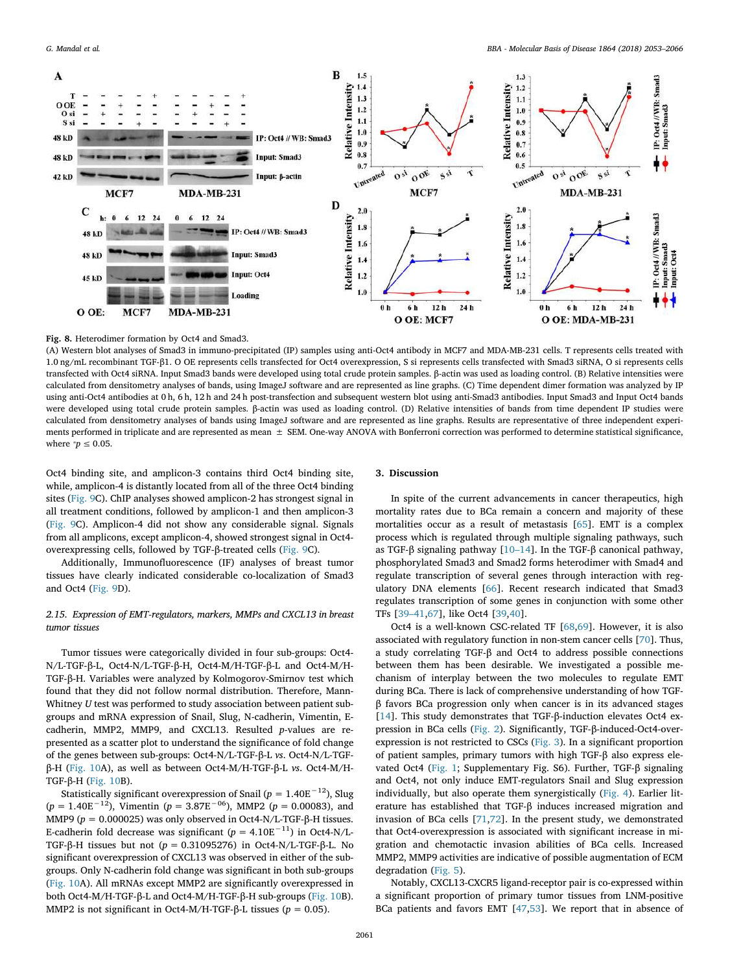![](_page_8_Figure_2.jpeg)

#### Fig. 8. Heterodimer formation by Oct4 and Smad3.

(A) Western blot analyses of Smad3 in immuno-precipitated (IP) samples using anti-Oct4 antibody in MCF7 and MDA-MB-231 cells. T represents cells treated with 1.0 ng/mL recombinant TGF-β1. O OE represents cells transfected for Oct4 overexpression, S si represents cells transfected with Smad3 siRNA, O si represents cells transfected with Oct4 siRNA. Input Smad3 bands were developed using total crude protein samples. β-actin was used as loading control. (B) Relative intensities were calculated from densitometry analyses of bands, using ImageJ software and are represented as line graphs. (C) Time dependent dimer formation was analyzed by IP using anti-Oct4 antibodies at 0 h, 6 h, 12 h and 24 h post-transfection and subsequent western blot using anti-Smad3 antibodies. Input Smad3 and Input Oct4 bands were developed using total crude protein samples. β-actin was used as loading control. (D) Relative intensities of bands from time dependent IP studies were calculated from densitometry analyses of bands using ImageJ software and are represented as line graphs. Results are representative of three independent experiments performed in triplicate and are represented as mean  $\pm$  SEM. One-way ANOVA with Bonferroni correction was performed to determine statistical significance, where  $p \leq 0.05$ .

Oct4 binding site, and amplicon-3 contains third Oct4 binding site, while, amplicon-4 is distantly located from all of the three Oct4 binding sites (Fig. 9C). ChIP analyses showed amplicon-2 has strongest signal in all treatment conditions, followed by amplicon-1 and then amplicon-3 (Fig. 9C). Amplicon-4 did not show any considerable signal. Signals from all amplicons, except amplicon-4, showed strongest signal in Oct4 overexpressing cells, followed by TGF-β-treated cells (Fig. 9C).

Additionally, Immunofluorescence (IF) analyses of breast tumor tissues have clearly indicated considerable co-localization of Smad3 and Oct4 (Fig. 9D).

## *2.15. Expression of EMT-regulators, markers, MMPs and CXCL13 in breast tumor tissues*

Tumor tissues were categorically divided in four sub-groups: Oct4- N/L-TGF-β-L, Oct4-N/L-TGF-β-H, Oct4-M/H-TGF-β-L and Oct4-M/H-TGF-β-H. Variables were analyzed by Kolmogorov-Smirnov test which found that they did not follow normal distribution. Therefore, Mann-Whitney *U* test was performed to study association between patient subgroups and mRNA expression of Snail, Slug, N-cadherin, Vimentin, Ecadherin, MMP2, MMP9, and CXCL13. Resulted *p*-values are represented as a scatter plot to understand the significance of fold change of the genes between sub-groups: Oct4-N/L-TGF-β-L *vs*. Oct4-N/L-TGFβ-H (Fig. 10A), as well as between Oct4-M/H-TGF-β-L *vs*. Oct4-M/H-TGF-β-H (Fig. 10B).

Statistically significant overexpression of Snail ( $p = 1.40E^{-12}$ ), Slug (*<sup>p</sup>* = 1.40E−12), Vimentin (*<sup>p</sup>* = 3.87E−06), MMP2 (*<sup>p</sup>* = 0.00083), and MMP9 (*p* = 0.000025) was only observed in Oct4-N/L-TGF-β-H tissues. E-cadherin fold decrease was significant (*p* = 4.10E−11) in Oct4-N/L-TGF-β-H tissues but not (*p* = 0.31095276) in Oct4-N/L-TGF-β-L. No significant overexpression of CXCL13 was observed in either of the subgroups. Only N-cadherin fold change was significant in both sub-groups (Fig. 10A). All mRNAs except MMP2 are significantly overexpressed in both Oct4-M/H-TGF-β-L and Oct4-M/H-TGF-β-H sub-groups (Fig. 10B). MMP2 is not significant in Oct4-M/H-TGF-β-L tissues (*p* = 0.05).

#### 3. Discussion

In spite of the current advancements in cancer therapeutics, high mortality rates due to BCa remain a concern and majority of these mortalities occur as a result of metastasis [65]. EMT is a complex process which is regulated through multiple signaling pathways, such as TGF-β signaling pathway [10–14]. In the TGF-β canonical pathway, phosphorylated Smad3 and Smad2 forms heterodimer with Smad4 and regulate transcription of several genes through interaction with regulatory DNA elements [66]. Recent research indicated that Smad3 regulates transcription of some genes in conjunction with some other TFs [39–41,67], like Oct4 [39,40].

Oct4 is a well-known CSC-related TF [68,69]. However, it is also associated with regulatory function in non-stem cancer cells [70]. Thus, a study correlating TGF-β and Oct4 to address possible connections between them has been desirable. We investigated a possible mechanism of interplay between the two molecules to regulate EMT during BCa. There is lack of comprehensive understanding of how TGFβ favors BCa progression only when cancer is in its advanced stages [14]. This study demonstrates that TGF-β-induction elevates Oct4 expression in BCa cells (Fig. 2). Significantly, TGF-β-induced-Oct4-overexpression is not restricted to CSCs (Fig. 3). In a significant proportion of patient samples, primary tumors with high TGF-β also express elevated Oct4 (Fig. 1; Supplementary Fig. S6). Further, TGF-β signaling and Oct4, not only induce EMT-regulators Snail and Slug expression individually, but also operate them synergistically (Fig. 4). Earlier literature has established that TGF-β induces increased migration and invasion of BCa cells [71,72]. In the present study, we demonstrated that Oct4-overexpression is associated with significant increase in migration and chemotactic invasion abilities of BCa cells. Increased MMP2, MMP9 activities are indicative of possible augmentation of ECM degradation (Fig. 5).

Notably, CXCL13-CXCR5 ligand-receptor pair is co-expressed within a significant proportion of primary tumor tissues from LNM-positive BCa patients and favors EMT [47,53]. We report that in absence of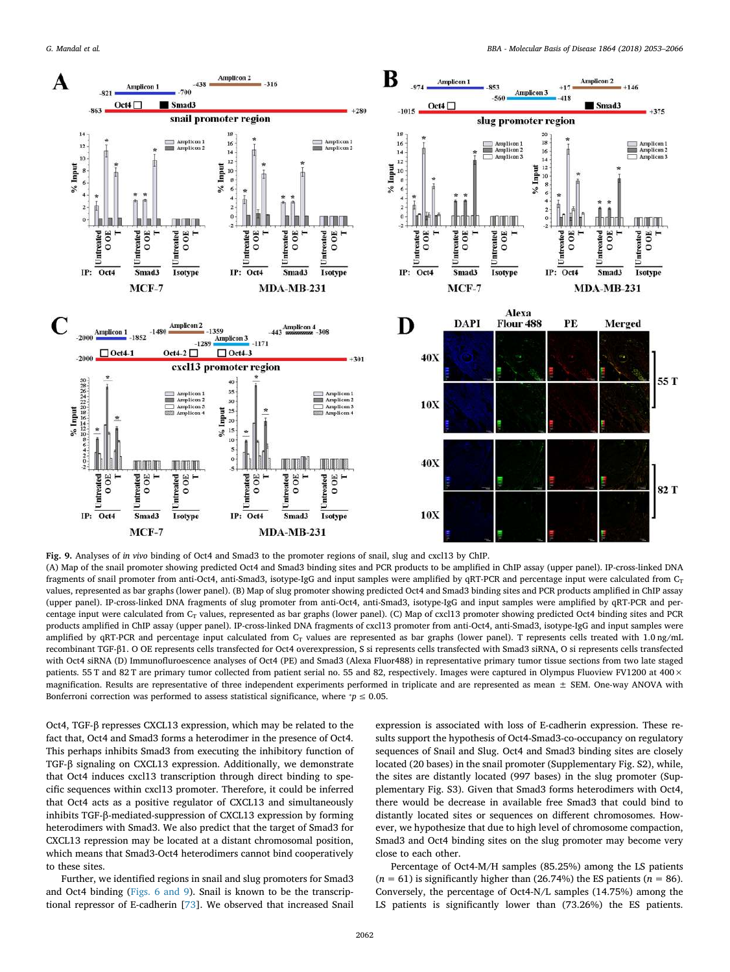![](_page_9_Figure_2.jpeg)

Fig. 9. Analyses of *in vivo* binding of Oct4 and Smad3 to the promoter regions of snail, slug and cxcl13 by ChIP. (A) Map of the snail promoter showing predicted Oct4 and Smad3 binding sites and PCR products to be amplified in ChIP assay (upper panel). IP-cross-linked DNA fragments of snail promoter from anti-Oct4, anti-Smad3, isotype-IgG and input samples were amplified by qRT-PCR and percentage input were calculated from  $C_T$ values, represented as bar graphs (lower panel). (B) Map of slug promoter showing predicted Oct4 and Smad3 binding sites and PCR products amplified in ChIP assay (upper panel). IP-cross-linked DNA fragments of slug promoter from anti-Oct4, anti-Smad3, isotype-IgG and input samples were amplified by qRT-PCR and percentage input were calculated from  $C_T$  values, represented as bar graphs (lower panel). (C) Map of cxcl13 promoter showing predicted Oct4 binding sites and PCR products amplified in ChIP assay (upper panel). IP-cross-linked DNA fragments of cxcl13 promoter from anti-Oct4, anti-Smad3, isotype-IgG and input samples were amplified by qRT-PCR and percentage input calculated from  $C_T$  values are represented as bar graphs (lower panel). T represents cells treated with 1.0 ng/mL recombinant TGF-β1. O OE represents cells transfected for Oct4 overexpression, S si represents cells transfected with Smad3 siRNA, O si represents cells transfected with Oct4 siRNA (D) Immunofluroescence analyses of Oct4 (PE) and Smad3 (Alexa Fluor488) in representative primary tumor tissue sections from two late staged patients. 55 T and 82 T are primary tumor collected from patient serial no. 55 and 82, respectively. Images were captured in Olympus Fluoview FV1200 at 400 × magnification. Results are representative of three independent experiments performed in triplicate and are represented as mean  $\pm$  SEM. One-way ANOVA with Bonferroni correction was performed to assess statistical significance, where  $p \leq 0.05$ .

Oct4, TGF-β represses CXCL13 expression, which may be related to the fact that, Oct4 and Smad3 forms a heterodimer in the presence of Oct4. This perhaps inhibits Smad3 from executing the inhibitory function of TGF-β signaling on CXCL13 expression. Additionally, we demonstrate that Oct4 induces cxcl13 transcription through direct binding to specific sequences within cxcl13 promoter. Therefore, it could be inferred that Oct4 acts as a positive regulator of CXCL13 and simultaneously inhibits TGF-β-mediated-suppression of CXCL13 expression by forming heterodimers with Smad3. We also predict that the target of Smad3 for CXCL13 repression may be located at a distant chromosomal position, which means that Smad3-Oct4 heterodimers cannot bind cooperatively to these sites.

Further, we identified regions in snail and slug promoters for Smad3 and Oct4 binding (Figs. 6 and 9). Snail is known to be the transcriptional repressor of E-cadherin [73]. We observed that increased Snail

expression is associated with loss of E-cadherin expression. These results support the hypothesis of Oct4-Smad3-co-occupancy on regulatory sequences of Snail and Slug. Oct4 and Smad3 binding sites are closely located (20 bases) in the snail promoter (Supplementary Fig. S2), while, the sites are distantly located (997 bases) in the slug promoter (Supplementary Fig. S3). Given that Smad3 forms heterodimers with Oct4, there would be decrease in available free Smad3 that could bind to distantly located sites or sequences on different chromosomes. However, we hypothesize that due to high level of chromosome compaction, Smad3 and Oct4 binding sites on the slug promoter may become very close to each other.

Percentage of Oct4-M/H samples (85.25%) among the LS patients  $(n = 61)$  is significantly higher than (26.74%) the ES patients  $(n = 86)$ . Conversely, the percentage of Oct4-N/L samples (14.75%) among the LS patients is significantly lower than (73.26%) the ES patients.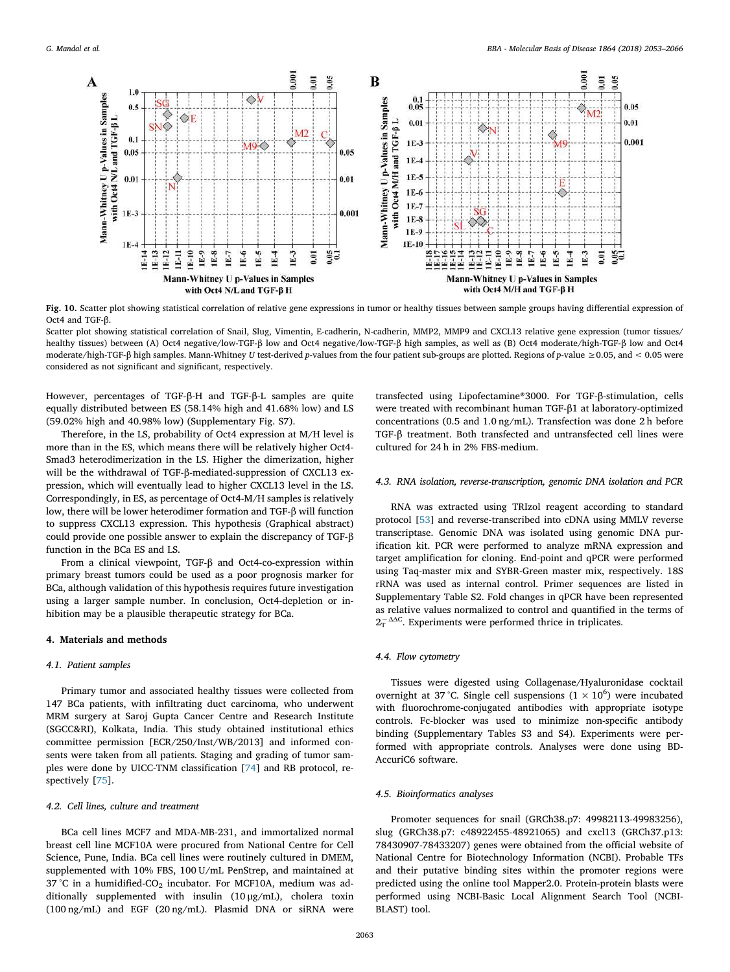![](_page_10_Figure_2.jpeg)

Fig. 10. Scatter plot showing statistical correlation of relative gene expressions in tumor or healthy tissues between sample groups having differential expression of Oct4 and TGF-β.

Scatter plot showing statistical correlation of Snail, Slug, Vimentin, E-cadherin, N-cadherin, MMP2, MMP9 and CXCL13 relative gene expression (tumor tissues/ healthy tissues) between (A) Oct4 negative/low-TGF-β low and Oct4 negative/low-TGF-β high samples, as well as (B) Oct4 moderate/high-TGF-β low and Oct4 moderate/high-TGF-β high samples. Mann-Whitney *U* test-derived *p*-values from the four patient sub-groups are plotted. Regions of *p*-value ≥0.05, and < 0.05 were considered as not significant and significant, respectively.

However, percentages of TGF-β-H and TGF-β-L samples are quite equally distributed between ES (58.14% high and 41.68% low) and LS (59.02% high and 40.98% low) (Supplementary Fig. S7).

Therefore, in the LS, probability of Oct4 expression at M/H level is more than in the ES, which means there will be relatively higher Oct4- Smad3 heterodimerization in the LS. Higher the dimerization, higher will be the withdrawal of TGF-β-mediated-suppression of CXCL13 expression, which will eventually lead to higher CXCL13 level in the LS. Correspondingly, in ES, as percentage of Oct4-M/H samples is relatively low, there will be lower heterodimer formation and TGF-β will function to suppress CXCL13 expression. This hypothesis (Graphical abstract) could provide one possible answer to explain the discrepancy of TGF-β function in the BCa ES and LS.

From a clinical viewpoint, TGF-β and Oct4-co-expression within primary breast tumors could be used as a poor prognosis marker for BCa, although validation of this hypothesis requires future investigation using a larger sample number. In conclusion, Oct4-depletion or inhibition may be a plausible therapeutic strategy for BCa.

#### 4. Materials and methods

## *4.1. Patient samples*

Primary tumor and associated healthy tissues were collected from 147 BCa patients, with infiltrating duct carcinoma, who underwent MRM surgery at Saroj Gupta Cancer Centre and Research Institute (SGCC&RI), Kolkata, India. This study obtained institutional ethics committee permission [ECR/250/Inst/WB/2013] and informed consents were taken from all patients. Staging and grading of tumor samples were done by UICC-TNM classification [74] and RB protocol, respectively [75].

#### *4.2. Cell lines, culture and treatment*

BCa cell lines MCF7 and MDA-MB-231, and immortalized normal breast cell line MCF10A were procured from National Centre for Cell Science, Pune, India. BCa cell lines were routinely cultured in DMEM, supplemented with 10% FBS, 100 U/mL PenStrep, and maintained at 37 °C in a humidified-CO<sub>2</sub> incubator. For MCF10A, medium was additionally supplemented with insulin (10 μg/mL), cholera toxin (100 ng/mL) and EGF (20 ng/mL). Plasmid DNA or siRNA were transfected using Lipofectamine®3000. For TGF-β-stimulation, cells were treated with recombinant human TGF-β1 at laboratory-optimized concentrations (0.5 and 1.0 ng/mL). Transfection was done 2 h before TGF-β treatment. Both transfected and untransfected cell lines were cultured for 24 h in 2% FBS-medium.

### *4.3. RNA isolation, reverse-transcription, genomic DNA isolation and PCR*

RNA was extracted using TRIzol reagent according to standard protocol [53] and reverse-transcribed into cDNA using MMLV reverse transcriptase. Genomic DNA was isolated using genomic DNA purification kit. PCR were performed to analyze mRNA expression and target amplification for cloning. End-point and qPCR were performed using Taq-master mix and SYBR-Green master mix, respectively. 18S rRNA was used as internal control. Primer sequences are listed in Supplementary Table S2. Fold changes in qPCR have been represented as relative values normalized to control and quantified in the terms of  $2_T^{-\Delta\Delta C}$ . Experiments were performed thrice in triplicates.

#### *4.4. Flow cytometry*

Tissues were digested using Collagenase/Hyaluronidase cocktail overnight at 37 °C. Single cell suspensions  $(1 \times 10^6)$  were incubated with fluorochrome-conjugated antibodies with appropriate isotype controls. Fc-blocker was used to minimize non-specific antibody binding (Supplementary Tables S3 and S4). Experiments were performed with appropriate controls. Analyses were done using BD-AccuriC6 software.

#### *4.5. Bioinformatics analyses*

Promoter sequences for snail (GRCh38.p7: 49982113-49983256), slug (GRCh38.p7: c48922455-48921065) and cxcl13 (GRCh37.p13: 78430907-78433207) genes were obtained from the official website of National Centre for Biotechnology Information (NCBI). Probable TFs and their putative binding sites within the promoter regions were predicted using the online tool Mapper2.0. Protein-protein blasts were performed using NCBI-Basic Local Alignment Search Tool (NCBI-BLAST) tool.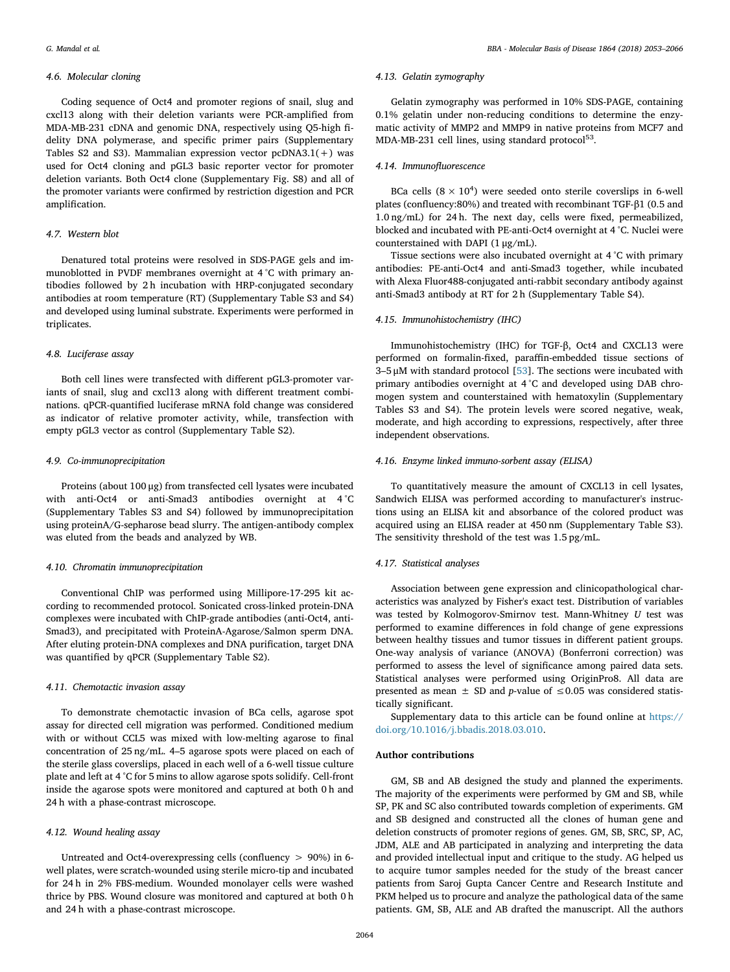#### *4.6. Molecular cloning*

Coding sequence of Oct4 and promoter regions of snail, slug and cxcl13 along with their deletion variants were PCR-amplified from MDA-MB-231 cDNA and genomic DNA, respectively using Q5-high fidelity DNA polymerase, and specific primer pairs (Supplementary Tables S2 and S3). Mammalian expression vector  $pcDNA3.1(+)$  was used for Oct4 cloning and pGL3 basic reporter vector for promoter deletion variants. Both Oct4 clone (Supplementary Fig. S8) and all of the promoter variants were confirmed by restriction digestion and PCR amplification.

#### *4.7. Western blot*

Denatured total proteins were resolved in SDS-PAGE gels and immunoblotted in PVDF membranes overnight at 4 °C with primary antibodies followed by 2 h incubation with HRP-conjugated secondary antibodies at room temperature (RT) (Supplementary Table S3 and S4) and developed using luminal substrate. Experiments were performed in triplicates.

#### *4.8. Luciferase assay*

Both cell lines were transfected with different pGL3-promoter variants of snail, slug and cxcl13 along with different treatment combinations. qPCR-quantified luciferase mRNA fold change was considered as indicator of relative promoter activity, while, transfection with empty pGL3 vector as control (Supplementary Table S2).

#### *4.9. Co-immunoprecipitation*

Proteins (about 100 μg) from transfected cell lysates were incubated with anti-Oct4 or anti-Smad3 antibodies overnight at 4 °C (Supplementary Tables S3 and S4) followed by immunoprecipitation using proteinA/G-sepharose bead slurry. The antigen-antibody complex was eluted from the beads and analyzed by WB.

#### *4.10. Chromatin immunoprecipitation*

Conventional ChIP was performed using Millipore-17-295 kit according to recommended protocol. Sonicated cross-linked protein-DNA complexes were incubated with ChIP-grade antibodies (anti-Oct4, anti-Smad3), and precipitated with ProteinA-Agarose/Salmon sperm DNA. After eluting protein-DNA complexes and DNA purification, target DNA was quantified by qPCR (Supplementary Table S2).

## *4.11. Chemotactic invasion assay*

To demonstrate chemotactic invasion of BCa cells, agarose spot assay for directed cell migration was performed. Conditioned medium with or without CCL5 was mixed with low-melting agarose to final concentration of 25 ng/mL. 4–5 agarose spots were placed on each of the sterile glass coverslips, placed in each well of a 6-well tissue culture plate and left at 4 °C for 5 mins to allow agarose spots solidify. Cell-front inside the agarose spots were monitored and captured at both 0 h and 24 h with a phase-contrast microscope.

## *4.12. Wound healing assay*

Untreated and Oct4-overexpressing cells (confluency > 90%) in 6 well plates, were scratch-wounded using sterile micro-tip and incubated for 24 h in 2% FBS-medium. Wounded monolayer cells were washed thrice by PBS. Wound closure was monitored and captured at both 0 h and 24 h with a phase-contrast microscope.

#### *4.13. Gelatin zymography*

Gelatin zymography was performed in 10% SDS-PAGE, containing 0.1% gelatin under non-reducing conditions to determine the enzymatic activity of MMP2 and MMP9 in native proteins from MCF7 and MDA-MB-231 cell lines, using standard protocol<sup>53</sup>.

#### *4.14. Immuno*fl*uorescence*

BCa cells  $(8 \times 10^4)$  were seeded onto sterile coverslips in 6-well plates (confluency:80%) and treated with recombinant TGF-β1 (0.5 and 1.0 ng/mL) for 24 h. The next day, cells were fixed, permeabilized, blocked and incubated with PE-anti-Oct4 overnight at 4 °C. Nuclei were counterstained with DAPI (1 μg/mL).

Tissue sections were also incubated overnight at 4 °C with primary antibodies: PE-anti-Oct4 and anti-Smad3 together, while incubated with Alexa Fluor488-conjugated anti-rabbit secondary antibody against anti-Smad3 antibody at RT for 2 h (Supplementary Table S4).

#### *4.15. Immunohistochemistry (IHC)*

Immunohistochemistry (IHC) for TGF-β, Oct4 and CXCL13 were performed on formalin-fixed, paraffin-embedded tissue sections of 3–5 μM with standard protocol [53]. The sections were incubated with primary antibodies overnight at 4 °C and developed using DAB chromogen system and counterstained with hematoxylin (Supplementary Tables S3 and S4). The protein levels were scored negative, weak, moderate, and high according to expressions, respectively, after three independent observations.

## *4.16. Enzyme linked immuno-sorbent assay (ELISA)*

To quantitatively measure the amount of CXCL13 in cell lysates, Sandwich ELISA was performed according to manufacturer's instructions using an ELISA kit and absorbance of the colored product was acquired using an ELISA reader at 450 nm (Supplementary Table S3). The sensitivity threshold of the test was 1.5 pg/mL.

### *4.17. Statistical analyses*

Association between gene expression and clinicopathological characteristics was analyzed by Fisher's exact test. Distribution of variables was tested by Kolmogorov-Smirnov test. Mann-Whitney *U* test was performed to examine differences in fold change of gene expressions between healthy tissues and tumor tissues in different patient groups. One-way analysis of variance (ANOVA) (Bonferroni correction) was performed to assess the level of significance among paired data sets. Statistical analyses were performed using OriginPro8. All data are presented as mean  $\pm$  SD and *p*-value of  $\leq$  0.05 was considered statistically significant.

Supplementary data to this article can be found online at https:// doi.org/10.1016/j.bbadis.2018.03.010.

#### Author contributions

GM, SB and AB designed the study and planned the experiments. The majority of the experiments were performed by GM and SB, while SP, PK and SC also contributed towards completion of experiments. GM and SB designed and constructed all the clones of human gene and deletion constructs of promoter regions of genes. GM, SB, SRC, SP, AC, JDM, ALE and AB participated in analyzing and interpreting the data and provided intellectual input and critique to the study. AG helped us to acquire tumor samples needed for the study of the breast cancer patients from Saroj Gupta Cancer Centre and Research Institute and PKM helped us to procure and analyze the pathological data of the same patients. GM, SB, ALE and AB drafted the manuscript. All the authors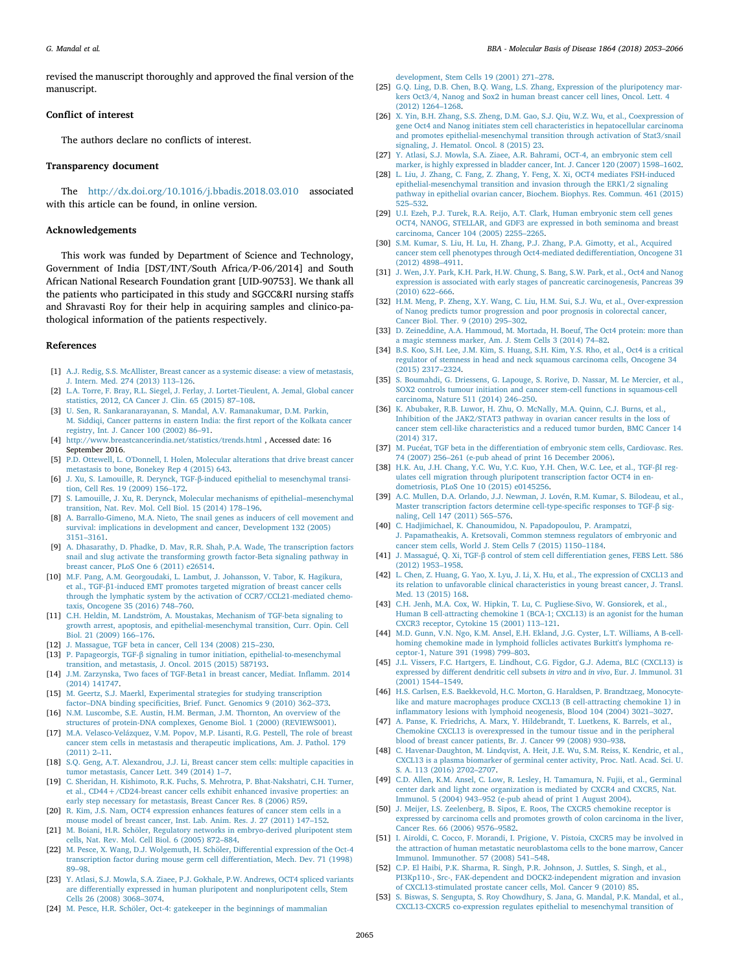revised the manuscript thoroughly and approved the final version of the manuscript.

#### Conflict of interest

The authors declare no conflicts of interest.

#### Transparency document

The http://dx.doi.org/10.1016/j.bbadis.2018.03.010 associated with this article can be found, in online version.

#### Acknowledgements

This work was funded by Department of Science and Technology, Government of India [DST/INT/South Africa/P-06/2014] and South African National Research Foundation grant [UID-90753]. We thank all the patients who participated in this study and SGCC&RI nursing staffs and Shravasti Roy for their help in acquiring samples and clinico-pathological information of the patients respectively.

#### References

- [1] A.J. Redig, S.S. McAllister, Breast cancer as a systemic disease: a view of metastasis, J. Intern. Med. 274 (2013) 113–126.
- [2] L.A. Torre, F. Bray, R.L. Siegel, J. Ferlay, J. Lortet-Tieulent, A. Jemal, Global cancer statistics, 2012, CA Cancer J. Clin. 65 (2015) 87–108.
- [3] U. Sen, R. Sankaranarayanan, S. Mandal, A.V. Ramanakumar, D.M. Parkin, M. Siddiqi, Cancer patterns in eastern India: the first report of the Kolkata cancer registry, Int. J. Cancer 100 (2002) 86–91.
- [4] http://www.breastcancerindia.net/statistics/trends.html , Accessed date: 16 September 2016.
- [5] P.D. Ottewell, L. O'Donnell, I. Holen, Molecular alterations that drive breast cancer metastasis to bone, Bonekey Rep 4 (2015) 643.
- [6] J. Xu, S. Lamouille, R. Derynck, TGF-β-induced epithelial to mesenchymal transition, Cell Res. 19 (2009) 156–172.
- [7] S. Lamouille, J. Xu, R. Derynck, Molecular mechanisms of epithelial–mesenchymal transition, Nat. Rev. Mol. Cell Biol. 15 (2014) 178–196.
- [8] A. Barrallo-Gimeno, M.A. Nieto, The snail genes as inducers of cell movement and survival: implications in development and cancer, Development 132 (2005) 3151–3161.
- [9] A. Dhasarathy, D. Phadke, D. Mav, R.R. Shah, P.A. Wade, The transcription factors snail and slug activate the transforming growth factor-Beta signaling pathway in breast cancer, PLoS One 6 (2011) e26514.
- [10] M.F. Pang, A.M. Georgoudaki, L. Lambut, J. Johansson, V. Tabor, K. Hagikura, et al., TGF-β1-induced EMT promotes targeted migration of breast cancer cells through the lymphatic system by the activation of CCR7/CCL21-mediated chemotaxis, Oncogene 35 (2016) 748–760.
- [11] C.H. Heldin, M. Landström, A. Moustakas, Mechanism of TGF-beta signaling to growth arrest, apoptosis, and epithelial-mesenchymal transition, Curr. Opin. Cell Biol. 21 (2009) 166–176.
- [12] J. Massague, TGF beta in cancer, Cell 134 (2008) 215–230. [13] P. Papageorgis, TGF-β signaling in tumor initiation, epithelial-to-mesenchymal
- transition, and metastasis, J. Oncol. 2015 (2015) 587193.
- [14] J.M. Zarzynska, Two faces of TGF-Beta1 in breast cancer, Mediat. Inflamm. 2014 (2014) 141747.
- [15] M. Geertz, S.J. Maerkl, Experimental strategies for studying transcription factor–DNA binding specificities, Brief. Funct. Genomics 9 (2010) 362–373.
- [16] N.M. Luscombe, S.E. Austin, H.M. Berman, J.M. Thornton, An overview of the structures of protein-DNA complexes, Genome Biol. 1 (2000) (REVIEWS001).
- [17] M.A. Velasco-Velázquez, V.M. Popov, M.P. Lisanti, R.G. Pestell, The role of breast cancer stem cells in metastasis and therapeutic implications, Am. J. Pathol. 179 (2011) 2–11.
- [18] S.O. Geng, A.T. Alexandrou, J.J. Li, Breast cancer stem cells: multiple capacities in tumor metastasis, Cancer Lett. 349 (2014) 1–7.
- [19] C. Sheridan, H. Kishimoto, R.K. Fuchs, S. Mehrotra, P. Bhat-Nakshatri, C.H. Turner, et al., CD44+/CD24-breast cancer cells exhibit enhanced invasive properties: an early step necessary for metastasis, Breast Cancer Res. 8 (2006) R59.
- [20] R. Kim, J.S. Nam, OCT4 expression enhances features of cancer stem cells in a mouse model of breast cancer, Inst. Lab. Anim. Res. J. 27 (2011) 147–152.
- [21] M. Boiani, H.R. Schöler, Regulatory networks in embryo-derived pluripotent stem cells, Nat. Rev. Mol. Cell Biol. 6 (2005) 872–884.
- [22] M. Pesce, X. Wang, D.J. Wolgemuth, H. Schöler, Differential expression of the Oct-4 transcription factor during mouse germ cell differentiation, Mech. Dev. 71 (1998) 89–98.
- [23] Y. Atlasi, S.J. Mowla, S.A. Ziaee, P.J. Gokhale, P.W. Andrews, OCT4 spliced variants are differentially expressed in human pluripotent and nonpluripotent cells, Stem Cells 26 (2008) 3068–3074.
- [24] M. Pesce, H.R. Schöler, Oct-4: gatekeeper in the beginnings of mammalian

development, Stem Cells 19 (2001) 271–278.

- [25] G.Q. Ling, D.B. Chen, B.Q. Wang, L.S. Zhang, Expression of the pluripotency markers Oct3/4, Nanog and Sox2 in human breast cancer cell lines, Oncol. Lett. 4 (2012) 1264–1268.
- [26] X. Yin, B.H. Zhang, S.S. Zheng, D.M. Gao, S.J. Qiu, W.Z. Wu, et al., Coexpression of gene Oct4 and Nanog initiates stem cell characteristics in hepatocellular carcinoma and promotes epithelial-mesenchymal transition through activation of Stat3/snail signaling, J. Hematol. Oncol. 8 (2015) 23.
- [27] Y. Atlasi, S.J. Mowla, S.A. Ziaee, A.R. Bahrami, OCT-4, an embryonic stem cell marker, is highly expressed in bladder cancer, Int. J. Cancer 120 (2007) 1598–1602.
- [28] L. Liu, J. Zhang, C. Fang, Z. Zhang, Y. Feng, X. Xi, OCT4 mediates FSH-induced epithelial-mesenchymal transition and invasion through the ERK1/2 signaling pathway in epithelial ovarian cancer, Biochem. Biophys. Res. Commun. 461 (2015) 525–532.
- [29] U.I. Ezeh, P.J. Turek, R.A. Reijo, A.T. Clark, Human embryonic stem cell genes OCT4, NANOG, STELLAR, and GDF3 are expressed in both seminoma and breast carcinoma, Cancer 104 (2005) 2255–2265.
- [30] S.M. Kumar, S. Liu, H. Lu, H. Zhang, P.J. Zhang, P.A. Gimotty, et al., Acquired cancer stem cell phenotypes through Oct4-mediated dedifferentiation, Oncogene 31 (2012) 4898–4911.
- [31] J. Wen, J.Y. Park, K.H. Park, H.W. Chung, S. Bang, S.W. Park, et al., Oct4 and Nanog expression is associated with early stages of pancreatic carcinogenesis, Pancreas 39 (2010) 622–666.
- [32] H.M. Meng, P. Zheng, X.Y. Wang, C. Liu, H.M. Sui, S.J. Wu, et al., Over-expression of Nanog predicts tumor progression and poor prognosis in colorectal cancer, Cancer Biol. Ther. 9 (2010) 295–302.
- [33] D. Zeineddine, A.A. Hammoud, M. Mortada, H. Boeuf, The Oct4 protein: more than a magic stemness marker, Am. J. Stem Cells 3 (2014) 74–82.
- [34] B.S. Koo, S.H. Lee, J.M. Kim, S. Huang, S.H. Kim, Y.S. Rho, et al., Oct4 is a critical regulator of stemness in head and neck squamous carcinoma cells, Oncogene 34 (2015) 2317–2324.
- [35] S. Boumahdi, G. Driessens, G. Lapouge, S. Rorive, D. Nassar, M. Le Mercier, et al., SOX2 controls tumour initiation and cancer stem-cell functions in squamous-cell carcinoma, Nature 511 (2014) 246–250.
- [36] K. Abubaker, R.B. Luwor, H. Zhu, O. McNally, M.A. Quinn, C.J. Burns, et al., Inhibition of the JAK2/STAT3 pathway in ovarian cancer results in the loss of cancer stem cell-like characteristics and a reduced tumor burden, BMC Cancer 14 (2014) 317.
- [37] M. Pucéat, TGF beta in the differentiation of embryonic stem cells, Cardiovasc. Res. 74 (2007) 256–261 (e-pub ahead of print 16 December 2006).
- [38] H.K. Au, J.H. Chang, Y.C. Wu, Y.C. Kuo, Y.H. Chen, W.C. Lee, et al., TGF-βI regulates cell migration through pluripotent transcription factor OCT4 in endometriosis, PLoS One 10 (2015) e0145256.
- [39] A.C. Mullen, D.A. Orlando, J.J. Newman, J. Lovén, R.M. Kumar, S. Bilodeau, et al., Master transcription factors determine cell-type-specific responses to TGF-β signaling, Cell 147 (2011) 565–576.
- [40] C. Hadjimichael, K. Chanoumidou, N. Papadopoulou, P. Arampatzi, J. Papamatheakis, A. Kretsovali, Common stemness regulators of embryonic and cancer stem cells, World J. Stem Cells 7 (2015) 1150–1184.
- [41] J. Massagué, Q. Xi, TGF-β control of stem cell differentiation genes, FEBS Lett. 586 (2012) 1953–1958.
- [42] L. Chen, Z. Huang, G. Yao, X. Lyu, J. Li, X. Hu, et al., The expression of CXCL13 and its relation to unfavorable clinical characteristics in young breast cancer, J. Transl. Med. 13 (2015) 168.
- [43] C.H. Jenh, M.A. Cox, W. Hipkin, T. Lu, C. Pugliese-Sivo, W. Gonsiorek, et al., Human B cell-attracting chemokine 1 (BCA-1; CXCL13) is an agonist for the human CXCR3 receptor, Cytokine 15 (2001) 113–121.
- [44] M.D. Gunn, V.N. Ngo, K.M. Ansel, E.H. Ekland, J.G. Cyster, L.T. Williams, A B-cellhoming chemokine made in lymphoid follicles activates Burkitt's lymphoma receptor-1, Nature 391 (1998) 799–803.
- [45] J.L. Vissers, F.C. Hartgers, E. Lindhout, C.G. Figdor, G.J. Adema, BLC (CXCL13) is expressed by different dendritic cell subsets *in vitro* and *in vivo*, Eur. J. Immunol. 31 (2001) 1544–1549.
- [46] H.S. Carlsen, E.S. Baekkevold, H.C. Morton, G. Haraldsen, P. Brandtzaeg, Monocytelike and mature macrophages produce CXCL13 (B cell-attracting chemokine 1) in inflammatory lesions with lymphoid neogenesis, Blood 104 (2004) 3021–3027.
- [47] A. Panse, K. Friedrichs, A. Marx, Y. Hildebrandt, T. Luetkens, K. Barrels, et al., Chemokine CXCL13 is overexpressed in the tumour tissue and in the peripheral blood of breast cancer patients, Br. J. Cancer 99 (2008) 930–938.
- [48] C. Havenar-Daughton, M. Lindqvist, A. Heit, J.E. Wu, S.M. Reiss, K. Kendric, et al., CXCL13 is a plasma biomarker of germinal center activity, Proc. Natl. Acad. Sci. U. S. A. 113 (2016) 2702–2707.
- [49] C.D. Allen, K.M. Ansel, C. Low, R. Lesley, H. Tamamura, N. Fujii, et al., Germinal center dark and light zone organization is mediated by CXCR4 and CXCR5, Nat. Immunol. 5 (2004) 943–952 (e-pub ahead of print 1 August 2004).
- [50] J. Meijer, I.S. Zeelenberg, B. Sipos, E. Roos, The CXCR5 chemokine receptor is expressed by carcinoma cells and promotes growth of colon carcinoma in the liver, Cancer Res. 66 (2006) 9576–9582.
- [51] I. Airoldi, C. Cocco, F. Morandi, I. Prigione, V. Pistoia, CXCR5 may be involved in the attraction of human metastatic neuroblastoma cells to the bone marrow, Cancer Immunol. Immunother. 57 (2008) 541–548.
- [52] C.P. El Haibi, P.K. Sharma, R. Singh, P.R. Johnson, J. Suttles, S. Singh, et al., PI3Kp110-, Src-, FAK-dependent and DOCK2-independent migration and invasion of CXCL13-stimulated prostate cancer cells, Mol. Cancer 9 (2010) 85.
- [53] S. Biswas, S. Sengupta, S. Roy Chowdhury, S. Jana, G. Mandal, P.K. Mandal, et al., CXCL13-CXCR5 co-expression regulates epithelial to mesenchymal transition of